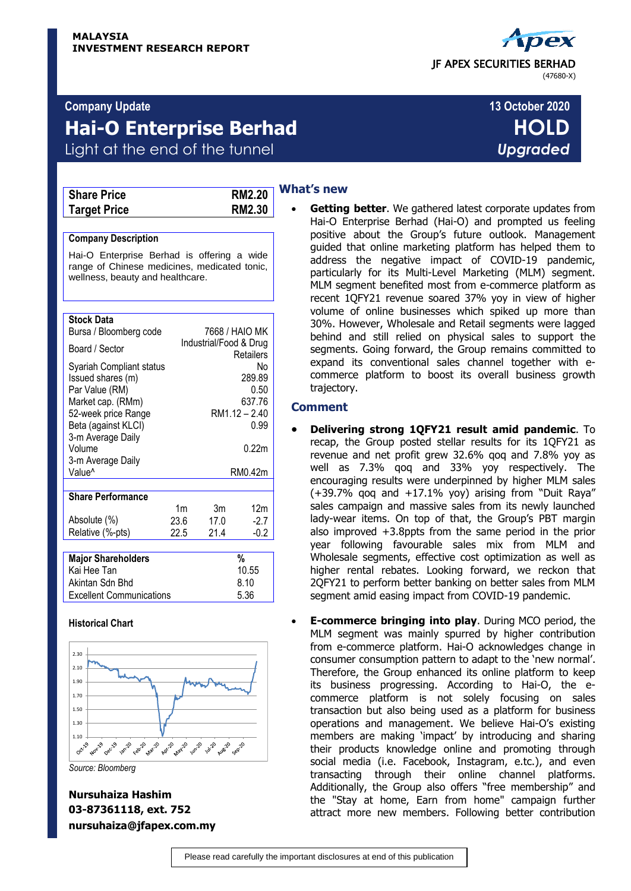#### **Company Update 13 October 2020**

# **Hai-O Enterprise Berhad HOLD** Light at the end of the tunnel *Upgraded*

| <b>Share Price</b>  | <b>RM2.20</b> |
|---------------------|---------------|
| <b>Target Price</b> | <b>RM2.30</b> |

| $\overline{\phantom{a}}$ |  |
|--------------------------|--|
| ı                        |  |

#### **Company Description**

Hai-O Enterprise Berhad is offering a wide range of Chinese medicines, medicated tonic, wellness, beauty and healthcare.

#### **Stock Data**

| Bursa / Bloomberg code                                                                                                                                                                 |      | 7668 / HAIO MK         |                                                                  |
|----------------------------------------------------------------------------------------------------------------------------------------------------------------------------------------|------|------------------------|------------------------------------------------------------------|
| Board / Sector                                                                                                                                                                         |      | Industrial/Food & Drug | Retailers                                                        |
| Syariah Compliant status<br>Issued shares (m)<br>Par Value (RM)<br>Market cap. (RMm)<br>52-week price Range<br>Beta (against KLCI)<br>3-m Average Daily<br>Volume<br>3-m Average Daily |      |                        | No<br>289.89<br>0.50<br>637.76<br>RM1.12 - 2.40<br>0.99<br>0.22m |
| Value <sup>^</sup>                                                                                                                                                                     |      |                        | RM0.42m                                                          |
| <b>Share Performance</b>                                                                                                                                                               |      |                        |                                                                  |
|                                                                                                                                                                                        | 1m   | 3m                     | 12m                                                              |
| Absolute (%)                                                                                                                                                                           | 23.6 | 17.0                   | $-2.7$                                                           |
| Relative (%-pts)                                                                                                                                                                       | 22.5 | 21.4                   | $-0.2$                                                           |
|                                                                                                                                                                                        |      |                        |                                                                  |
| <b>Major Shareholders</b>                                                                                                                                                              |      |                        | %                                                                |
| Kai Hee Tan                                                                                                                                                                            |      |                        | 10.55                                                            |
| Akintan Sdn Bhd                                                                                                                                                                        |      |                        | 8.10                                                             |
| <b>Excellent Communications</b>                                                                                                                                                        |      |                        | 5.36                                                             |

#### **Historical Chart**



*Source: Bloomberg*

**Nursuhaiza Hashim 03-87361118, ext. 752 nursuhaiza@jfapex.com.my**

### **What's new**

 **Getting better**. We gathered latest corporate updates from Hai-O Enterprise Berhad (Hai-O) and prompted us feeling positive about the Group's future outlook. Management guided that online marketing platform has helped them to address the negative impact of COVID-19 pandemic, particularly for its Multi-Level Marketing (MLM) segment. MLM segment benefited most from e-commerce platform as recent 1QFY21 revenue soared 37% yoy in view of higher volume of online businesses which spiked up more than 30%. However, Wholesale and Retail segments were lagged behind and still relied on physical sales to support the segments. Going forward, the Group remains committed to expand its conventional sales channel together with ecommerce platform to boost its overall business growth trajectory.

#### **Comment**

- **Delivering strong 1QFY21 result amid pandemic**. To recap, the Group posted stellar results for its 1QFY21 as revenue and net profit grew 32.6% qoq and 7.8% yoy as well as 7.3% qoq and 33% yoy respectively. The encouraging results were underpinned by higher MLM sales (+39.7% qoq and +17.1% yoy) arising from "Duit Raya" sales campaign and massive sales from its newly launched lady-wear items. On top of that, the Group's PBT margin also improved +3.8ppts from the same period in the prior year following favourable sales mix from MLM and Wholesale segments, effective cost optimization as well as higher rental rebates. Looking forward, we reckon that 2QFY21 to perform better banking on better sales from MLM segment amid easing impact from COVID-19 pandemic.
- **E-commerce bringing into play**. During MCO period, the MLM segment was mainly spurred by higher contribution from e-commerce platform. Hai-O acknowledges change in consumer consumption pattern to adapt to the 'new normal'. Therefore, the Group enhanced its online platform to keep its business progressing. According to Hai-O, the ecommerce platform is not solely focusing on sales transaction but also being used as a platform for business operations and management. We believe Hai-O's existing members are making 'impact' by introducing and sharing their products knowledge online and promoting through social media (i.e. Facebook, Instagram, e.tc.), and even transacting through their online channel platforms. Additionally, the Group also offers "free membership" and the "Stay at home, Earn from home" campaign further attract more new members. Following better contribution

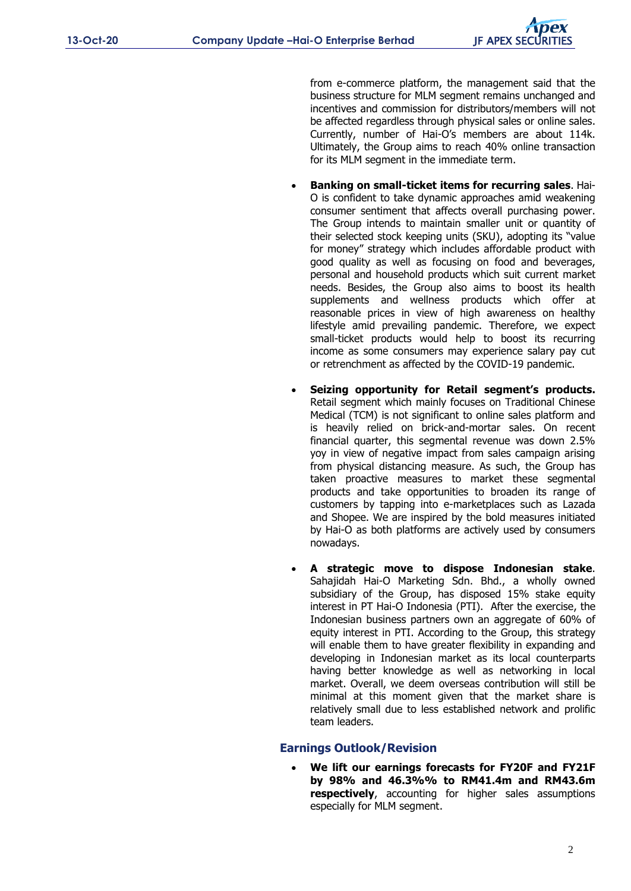from e-commerce platform, the management said that the business structure for MLM segment remains unchanged and incentives and commission for distributors/members will not be affected regardless through physical sales or online sales. Currently, number of Hai-O's members are about 114k. Ultimately, the Group aims to reach 40% online transaction for its MLM segment in the immediate term.

- **Banking on small-ticket items for recurring sales**. Hai-O is confident to take dynamic approaches amid weakening consumer sentiment that affects overall purchasing power. The Group intends to maintain smaller unit or quantity of their selected stock keeping units (SKU), adopting its "value for money" strategy which includes affordable product with good quality as well as focusing on food and beverages, personal and household products which suit current market needs. Besides, the Group also aims to boost its health supplements and wellness products which offer at reasonable prices in view of high awareness on healthy lifestyle amid prevailing pandemic. Therefore, we expect small-ticket products would help to boost its recurring income as some consumers may experience salary pay cut or retrenchment as affected by the COVID-19 pandemic.
- **Seizing opportunity for Retail segment's products.** Retail segment which mainly focuses on Traditional Chinese Medical (TCM) is not significant to online sales platform and is heavily relied on brick-and-mortar sales. On recent financial quarter, this segmental revenue was down 2.5% yoy in view of negative impact from sales campaign arising from physical distancing measure. As such, the Group has taken proactive measures to market these segmental products and take opportunities to broaden its range of customers by tapping into e-marketplaces such as Lazada and Shopee. We are inspired by the bold measures initiated by Hai-O as both platforms are actively used by consumers nowadays.
- **A strategic move to dispose Indonesian stake**. Sahajidah Hai-O Marketing Sdn. Bhd., a wholly owned subsidiary of the Group, has disposed 15% stake equity interest in PT Hai-O Indonesia (PTI). After the exercise, the Indonesian business partners own an aggregate of 60% of equity interest in PTI. According to the Group, this strategy will enable them to have greater flexibility in expanding and developing in Indonesian market as its local counterparts having better knowledge as well as networking in local market. Overall, we deem overseas contribution will still be minimal at this moment given that the market share is relatively small due to less established network and prolific team leaders.

#### **Earnings Outlook/Revision**

 **We lift our earnings forecasts for FY20F and FY21F by 98% and 46.3%% to RM41.4m and RM43.6m respectively**, accounting for higher sales assumptions especially for MLM segment.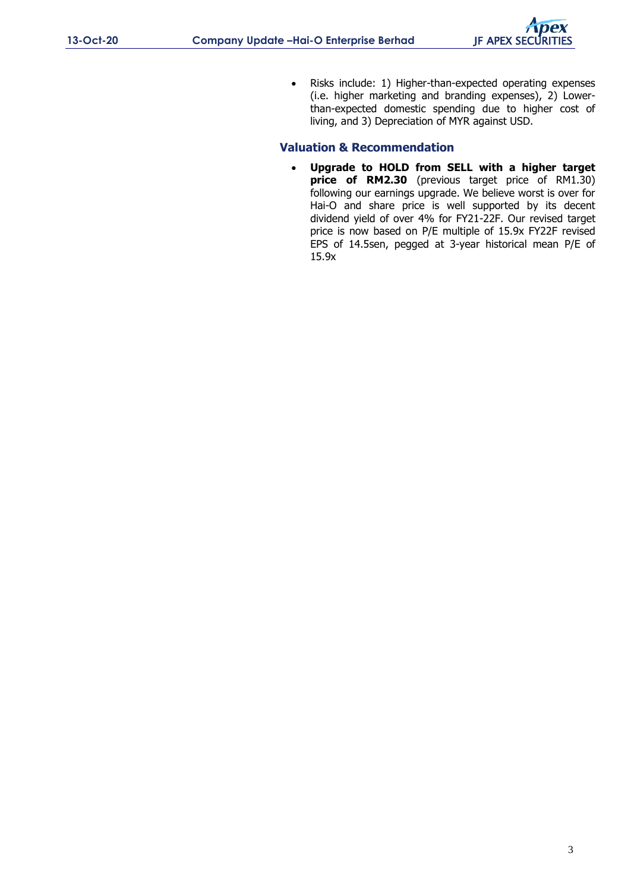• Risks include: 1) Higher-than-expected operating expenses (i.e. higher marketing and branding expenses), 2) Lowerthan-expected domestic spending due to higher cost of living, and 3) Depreciation of MYR against USD.

## **Valuation & Recommendation**

 **Upgrade to HOLD from SELL with a higher target price of RM2.30** (previous target price of RM1.30) following our earnings upgrade. We believe worst is over for Hai-O and share price is well supported by its decent dividend yield of over 4% for FY21-22F. Our revised target price is now based on P/E multiple of 15.9x FY22F revised EPS of 14.5sen, pegged at 3-year historical mean P/E of 15.9x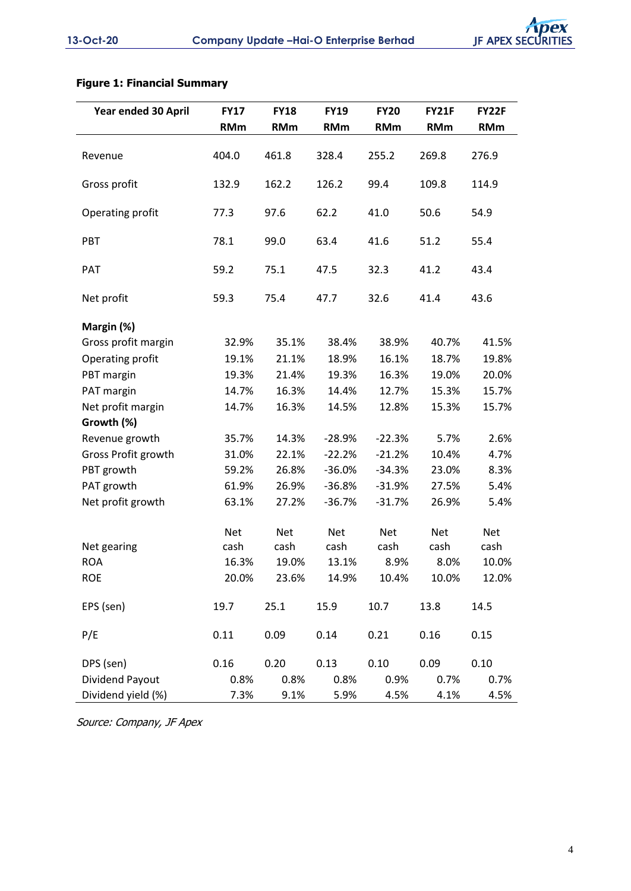# **Figure 1: Financial Summary**

| Year ended 30 April | <b>FY17</b> | <b>FY18</b> | <b>FY19</b> | <b>FY20</b> | <b>FY21F</b> | FY22F      |
|---------------------|-------------|-------------|-------------|-------------|--------------|------------|
|                     | <b>RMm</b>  | <b>RMm</b>  | <b>RMm</b>  | <b>RMm</b>  | <b>RMm</b>   | <b>RMm</b> |
| Revenue             | 404.0       | 461.8       | 328.4       | 255.2       | 269.8        | 276.9      |
| Gross profit        | 132.9       | 162.2       | 126.2       | 99.4        | 109.8        | 114.9      |
| Operating profit    | 77.3        | 97.6        | 62.2        | 41.0        | 50.6         | 54.9       |
| PBT                 | 78.1        | 99.0        | 63.4        | 41.6        | 51.2         | 55.4       |
| PAT                 | 59.2        | 75.1        | 47.5        | 32.3        | 41.2         | 43.4       |
| Net profit          | 59.3        | 75.4        | 47.7        | 32.6        | 41.4         | 43.6       |
| Margin (%)          |             |             |             |             |              |            |
| Gross profit margin | 32.9%       | 35.1%       | 38.4%       | 38.9%       | 40.7%        | 41.5%      |
| Operating profit    | 19.1%       | 21.1%       | 18.9%       | 16.1%       | 18.7%        | 19.8%      |
| PBT margin          | 19.3%       | 21.4%       | 19.3%       | 16.3%       | 19.0%        | 20.0%      |
| PAT margin          | 14.7%       | 16.3%       | 14.4%       | 12.7%       | 15.3%        | 15.7%      |
| Net profit margin   | 14.7%       | 16.3%       | 14.5%       | 12.8%       | 15.3%        | 15.7%      |
| Growth (%)          |             |             |             |             |              |            |
| Revenue growth      | 35.7%       | 14.3%       | $-28.9%$    | $-22.3%$    | 5.7%         | 2.6%       |
| Gross Profit growth | 31.0%       | 22.1%       | $-22.2%$    | $-21.2%$    | 10.4%        | 4.7%       |
| PBT growth          | 59.2%       | 26.8%       | $-36.0%$    | $-34.3%$    | 23.0%        | 8.3%       |
| PAT growth          | 61.9%       | 26.9%       | $-36.8%$    | $-31.9%$    | 27.5%        | 5.4%       |
| Net profit growth   | 63.1%       | 27.2%       | $-36.7%$    | $-31.7%$    | 26.9%        | 5.4%       |
|                     | <b>Net</b>  | <b>Net</b>  | <b>Net</b>  | <b>Net</b>  | <b>Net</b>   | Net        |
| Net gearing         | cash        | cash        | cash        | cash        | cash         | cash       |
| <b>ROA</b>          | 16.3%       | 19.0%       | 13.1%       | 8.9%        | 8.0%         | 10.0%      |
| <b>ROE</b>          | 20.0%       | 23.6%       | 14.9%       | 10.4%       | 10.0%        | 12.0%      |
| EPS (sen)           | 19.7        | 25.1        | 15.9        | 10.7        | 13.8         | 14.5       |
| P/E                 | 0.11        | 0.09        | 0.14        | 0.21        | 0.16         | 0.15       |
| DPS (sen)           | 0.16        | 0.20        | 0.13        | 0.10        | 0.09         | 0.10       |
| Dividend Payout     | 0.8%        | 0.8%        | 0.8%        | 0.9%        | 0.7%         | 0.7%       |
| Dividend yield (%)  | 7.3%        | 9.1%        | 5.9%        | 4.5%        | 4.1%         | 4.5%       |

Source: Company, JF Apex